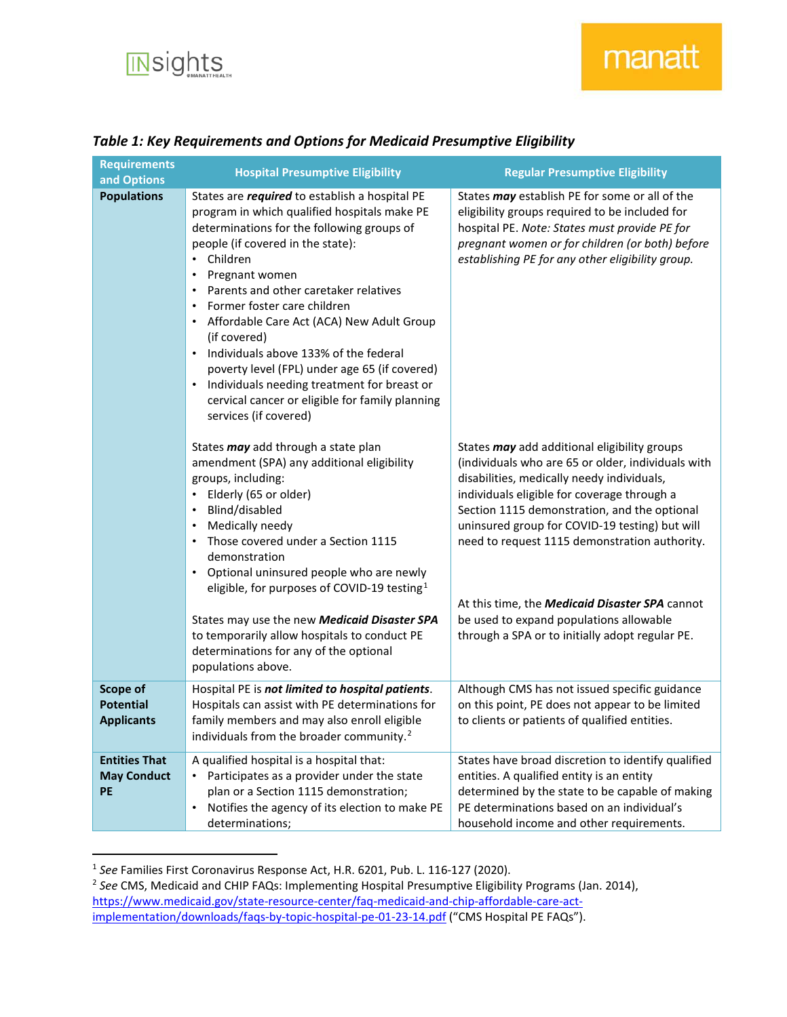

## *Table 1: Key Requirements and Options for Medicaid Presumptive Eligibility*

| <b>Requirements</b><br>and Options                | <b>Hospital Presumptive Eligibility</b>                                                                                                                                                                                                                                                                                                                                                                                                                                                                                                                                                                                                                        | <b>Regular Presumptive Eligibility</b>                                                                                                                                                                                                                                                                                                             |
|---------------------------------------------------|----------------------------------------------------------------------------------------------------------------------------------------------------------------------------------------------------------------------------------------------------------------------------------------------------------------------------------------------------------------------------------------------------------------------------------------------------------------------------------------------------------------------------------------------------------------------------------------------------------------------------------------------------------------|----------------------------------------------------------------------------------------------------------------------------------------------------------------------------------------------------------------------------------------------------------------------------------------------------------------------------------------------------|
| <b>Populations</b>                                | States are <i>required</i> to establish a hospital PE<br>program in which qualified hospitals make PE<br>determinations for the following groups of<br>people (if covered in the state):<br>Children<br>$\bullet$<br>Pregnant women<br>$\bullet$<br>Parents and other caretaker relatives<br>$\bullet$<br>Former foster care children<br>$\bullet$<br>Affordable Care Act (ACA) New Adult Group<br>(if covered)<br>Individuals above 133% of the federal<br>$\bullet$<br>poverty level (FPL) under age 65 (if covered)<br>Individuals needing treatment for breast or<br>$\bullet$<br>cervical cancer or eligible for family planning<br>services (if covered) | States <i>may</i> establish PE for some or all of the<br>eligibility groups required to be included for<br>hospital PE. Note: States must provide PE for<br>pregnant women or for children (or both) before<br>establishing PE for any other eligibility group.                                                                                    |
|                                                   | States may add through a state plan<br>amendment (SPA) any additional eligibility<br>groups, including:<br>• Elderly (65 or older)<br>Blind/disabled<br>$\bullet$<br>Medically needy<br>$\bullet$<br>Those covered under a Section 1115<br>demonstration<br>• Optional uninsured people who are newly<br>eligible, for purposes of COVID-19 testing <sup>1</sup>                                                                                                                                                                                                                                                                                               | States may add additional eligibility groups<br>(individuals who are 65 or older, individuals with<br>disabilities, medically needy individuals,<br>individuals eligible for coverage through a<br>Section 1115 demonstration, and the optional<br>uninsured group for COVID-19 testing) but will<br>need to request 1115 demonstration authority. |
|                                                   | States may use the new Medicaid Disaster SPA<br>to temporarily allow hospitals to conduct PE<br>determinations for any of the optional<br>populations above.                                                                                                                                                                                                                                                                                                                                                                                                                                                                                                   | At this time, the <b>Medicaid Disaster SPA</b> cannot<br>be used to expand populations allowable<br>through a SPA or to initially adopt regular PE.                                                                                                                                                                                                |
| Scope of<br><b>Potential</b><br><b>Applicants</b> | Hospital PE is not limited to hospital patients.<br>Hospitals can assist with PE determinations for<br>family members and may also enroll eligible<br>individuals from the broader community. <sup>2</sup>                                                                                                                                                                                                                                                                                                                                                                                                                                                     | Although CMS has not issued specific guidance<br>on this point, PE does not appear to be limited<br>to clients or patients of qualified entities.                                                                                                                                                                                                  |
| <b>Entities That</b><br><b>May Conduct</b><br>PE  | A qualified hospital is a hospital that:<br>Participates as a provider under the state<br>plan or a Section 1115 demonstration;<br>Notifies the agency of its election to make PE<br>$\bullet$<br>determinations;                                                                                                                                                                                                                                                                                                                                                                                                                                              | States have broad discretion to identify qualified<br>entities. A qualified entity is an entity<br>determined by the state to be capable of making<br>PE determinations based on an individual's<br>household income and other requirements.                                                                                                       |

<span id="page-0-2"></span><span id="page-0-0"></span> <sup>1</sup> *See* Families First Coronavirus Response Act, H.R. 6201, Pub. L. 116-127 (2020).

<span id="page-0-1"></span><sup>2</sup> *See* CMS, Medicaid and CHIP FAQs: Implementing Hospital Presumptive Eligibility Programs (Jan. 2014), [https://www.medicaid.gov/state-resource-center/faq-medicaid-and-chip-affordable-care-act](https://www.medicaid.gov/state-resource-center/faq-medicaid-and-chip-affordable-care-act-implementation/downloads/faqs-by-topic-hospital-pe-01-23-14.pdf)[implementation/downloads/faqs-by-topic-hospital-pe-01-23-14.pdf](https://www.medicaid.gov/state-resource-center/faq-medicaid-and-chip-affordable-care-act-implementation/downloads/faqs-by-topic-hospital-pe-01-23-14.pdf) ("CMS Hospital PE FAQs").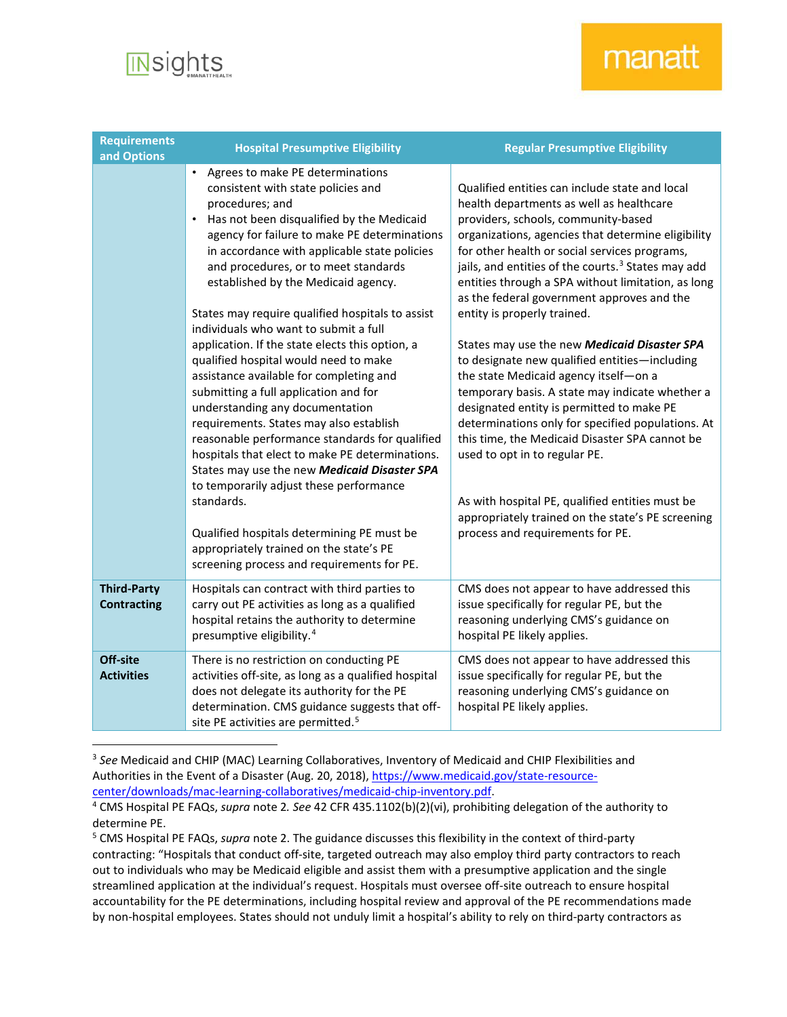

## manatt

| <b>Requirements</b><br>and Options       | <b>Hospital Presumptive Eligibility</b>                                                                                                                                                                                                                                                                                                                                                                                                                                                                                                                                                                                                                                                                                                                                                                                                                                                                                                                                                                                                            | <b>Regular Presumptive Eligibility</b>                                                                                                                                                                                                                                                                                                                                                                                                                                                                                                                                                                                                                                                                                                                                                                                                                                                                                                                                      |
|------------------------------------------|----------------------------------------------------------------------------------------------------------------------------------------------------------------------------------------------------------------------------------------------------------------------------------------------------------------------------------------------------------------------------------------------------------------------------------------------------------------------------------------------------------------------------------------------------------------------------------------------------------------------------------------------------------------------------------------------------------------------------------------------------------------------------------------------------------------------------------------------------------------------------------------------------------------------------------------------------------------------------------------------------------------------------------------------------|-----------------------------------------------------------------------------------------------------------------------------------------------------------------------------------------------------------------------------------------------------------------------------------------------------------------------------------------------------------------------------------------------------------------------------------------------------------------------------------------------------------------------------------------------------------------------------------------------------------------------------------------------------------------------------------------------------------------------------------------------------------------------------------------------------------------------------------------------------------------------------------------------------------------------------------------------------------------------------|
|                                          | Agrees to make PE determinations<br>consistent with state policies and<br>procedures; and<br>Has not been disqualified by the Medicaid<br>$\bullet$<br>agency for failure to make PE determinations<br>in accordance with applicable state policies<br>and procedures, or to meet standards<br>established by the Medicaid agency.<br>States may require qualified hospitals to assist<br>individuals who want to submit a full<br>application. If the state elects this option, a<br>qualified hospital would need to make<br>assistance available for completing and<br>submitting a full application and for<br>understanding any documentation<br>requirements. States may also establish<br>reasonable performance standards for qualified<br>hospitals that elect to make PE determinations.<br>States may use the new Medicaid Disaster SPA<br>to temporarily adjust these performance<br>standards.<br>Qualified hospitals determining PE must be<br>appropriately trained on the state's PE<br>screening process and requirements for PE. | Qualified entities can include state and local<br>health departments as well as healthcare<br>providers, schools, community-based<br>organizations, agencies that determine eligibility<br>for other health or social services programs,<br>jails, and entities of the courts. <sup>3</sup> States may add<br>entities through a SPA without limitation, as long<br>as the federal government approves and the<br>entity is properly trained.<br>States may use the new Medicaid Disaster SPA<br>to designate new qualified entities-including<br>the state Medicaid agency itself-on a<br>temporary basis. A state may indicate whether a<br>designated entity is permitted to make PE<br>determinations only for specified populations. At<br>this time, the Medicaid Disaster SPA cannot be<br>used to opt in to regular PE.<br>As with hospital PE, qualified entities must be<br>appropriately trained on the state's PE screening<br>process and requirements for PE. |
| <b>Third-Party</b><br><b>Contracting</b> | Hospitals can contract with third parties to<br>carry out PE activities as long as a qualified<br>hospital retains the authority to determine<br>presumptive eligibility. <sup>4</sup>                                                                                                                                                                                                                                                                                                                                                                                                                                                                                                                                                                                                                                                                                                                                                                                                                                                             | CMS does not appear to have addressed this<br>issue specifically for regular PE, but the<br>reasoning underlying CMS's guidance on<br>hospital PE likely applies.                                                                                                                                                                                                                                                                                                                                                                                                                                                                                                                                                                                                                                                                                                                                                                                                           |
| Off-site<br><b>Activities</b>            | There is no restriction on conducting PE<br>activities off-site, as long as a qualified hospital<br>does not delegate its authority for the PE<br>determination. CMS guidance suggests that off-<br>site PE activities are permitted. <sup>5</sup>                                                                                                                                                                                                                                                                                                                                                                                                                                                                                                                                                                                                                                                                                                                                                                                                 | CMS does not appear to have addressed this<br>issue specifically for regular PE, but the<br>reasoning underlying CMS's guidance on<br>hospital PE likely applies.                                                                                                                                                                                                                                                                                                                                                                                                                                                                                                                                                                                                                                                                                                                                                                                                           |

<span id="page-1-0"></span> <sup>3</sup> *See* Medicaid and CHIP (MAC) Learning Collaboratives, Inventory of Medicaid and CHIP Flexibilities and Authorities in the Event of a Disaster (Aug. 20, 2018)[, https://www.medicaid.gov/state-resource](https://www.medicaid.gov/state-resource-center/downloads/mac-learning-collaboratives/medicaid-chip-inventory.pdf)[center/downloads/mac-learning-collaboratives/medicaid-chip-inventory.pdf.](https://www.medicaid.gov/state-resource-center/downloads/mac-learning-collaboratives/medicaid-chip-inventory.pdf)

<span id="page-1-1"></span><sup>4</sup> CMS Hospital PE FAQs, *supra* note [2](#page-0-2)*. See* 42 CFR 435.1102(b)(2)(vi), prohibiting delegation of the authority to determine PE.

<span id="page-1-2"></span><sup>5</sup> CMS Hospital PE FAQs, *supra* note [2.](#page-0-2) The guidance discusses this flexibility in the context of third-party contracting: "Hospitals that conduct off-site, targeted outreach may also employ third party contractors to reach out to individuals who may be Medicaid eligible and assist them with a presumptive application and the single streamlined application at the individual's request. Hospitals must oversee off-site outreach to ensure hospital accountability for the PE determinations, including hospital review and approval of the PE recommendations made by non-hospital employees. States should not unduly limit a hospital's ability to rely on third-party contractors as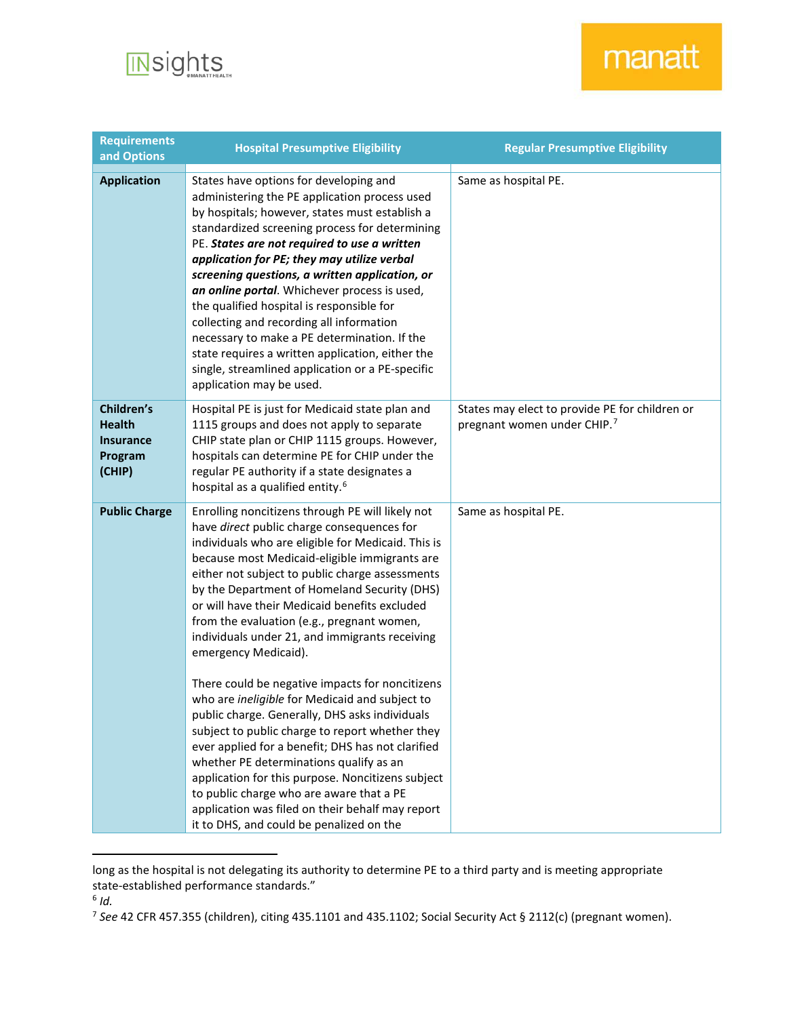

## manatt

| <b>Requirements</b><br>and Options                                   | <b>Hospital Presumptive Eligibility</b>                                                                                                                                                                                                                                                                                                                                                                                                                                                                                                                                                                                                                                                                                                                                                                                                                                                                                                                                                      | <b>Regular Presumptive Eligibility</b>                                                    |
|----------------------------------------------------------------------|----------------------------------------------------------------------------------------------------------------------------------------------------------------------------------------------------------------------------------------------------------------------------------------------------------------------------------------------------------------------------------------------------------------------------------------------------------------------------------------------------------------------------------------------------------------------------------------------------------------------------------------------------------------------------------------------------------------------------------------------------------------------------------------------------------------------------------------------------------------------------------------------------------------------------------------------------------------------------------------------|-------------------------------------------------------------------------------------------|
| <b>Application</b>                                                   | States have options for developing and<br>administering the PE application process used<br>by hospitals; however, states must establish a<br>standardized screening process for determining<br>PE. States are not required to use a written<br>application for PE; they may utilize verbal<br>screening questions, a written application, or<br>an online portal. Whichever process is used,<br>the qualified hospital is responsible for<br>collecting and recording all information<br>necessary to make a PE determination. If the<br>state requires a written application, either the<br>single, streamlined application or a PE-specific<br>application may be used.                                                                                                                                                                                                                                                                                                                    | Same as hospital PE.                                                                      |
| Children's<br><b>Health</b><br><b>Insurance</b><br>Program<br>(CHIP) | Hospital PE is just for Medicaid state plan and<br>1115 groups and does not apply to separate<br>CHIP state plan or CHIP 1115 groups. However,<br>hospitals can determine PE for CHIP under the<br>regular PE authority if a state designates a<br>hospital as a qualified entity. <sup>6</sup>                                                                                                                                                                                                                                                                                                                                                                                                                                                                                                                                                                                                                                                                                              | States may elect to provide PE for children or<br>pregnant women under CHIP. <sup>7</sup> |
| <b>Public Charge</b>                                                 | Enrolling noncitizens through PE will likely not<br>have direct public charge consequences for<br>individuals who are eligible for Medicaid. This is<br>because most Medicaid-eligible immigrants are<br>either not subject to public charge assessments<br>by the Department of Homeland Security (DHS)<br>or will have their Medicaid benefits excluded<br>from the evaluation (e.g., pregnant women,<br>individuals under 21, and immigrants receiving<br>emergency Medicaid).<br>There could be negative impacts for noncitizens<br>who are ineligible for Medicaid and subject to<br>public charge. Generally, DHS asks individuals<br>subject to public charge to report whether they<br>ever applied for a benefit; DHS has not clarified<br>whether PE determinations qualify as an<br>application for this purpose. Noncitizens subject<br>to public charge who are aware that a PE<br>application was filed on their behalf may report<br>it to DHS, and could be penalized on the | Same as hospital PE.                                                                      |

long as the hospital is not delegating its authority to determine PE to a third party and is meeting appropriate state-established performance standards."

 $\overline{a}$ 

<span id="page-2-0"></span><sup>6</sup> *Id.*

<span id="page-2-1"></span><sup>7</sup> *See* 42 CFR 457.355 (children), citing 435.1101 and 435.1102; Social Security Act § 2112(c) (pregnant women).